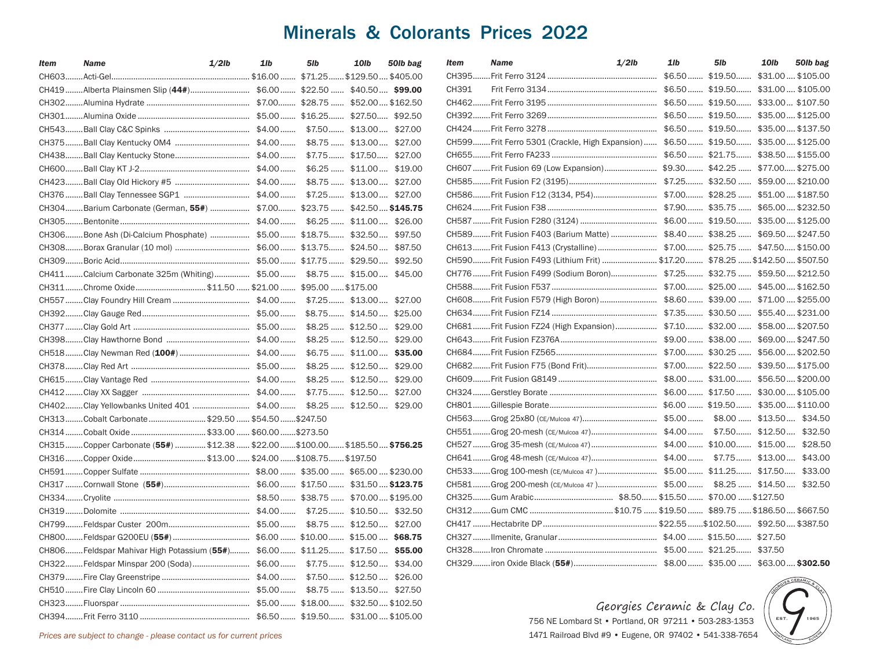## Minerals & Colorants Prices 2022

| Item  | <b>Name</b>                                                                | 1/b<br>$1/2$ lb | 5lb | 10lb | 50lb bag | Item   | <b>Name</b> | $1/2$ lb                                                                       | 1/b | 5 <sub>1b</sub>                     | 10lb | 50lb bag  |
|-------|----------------------------------------------------------------------------|-----------------|-----|------|----------|--------|-------------|--------------------------------------------------------------------------------|-----|-------------------------------------|------|-----------|
| CH603 |                                                                            |                 |     |      |          | CH395. |             |                                                                                |     | $$6.50$ $$19.50$ $$31.00$ $$105.00$ |      |           |
|       | CH419Alberta Plainsmen Slip (44#) \$6.00 \$22.50 \$40.50 \$99.00           |                 |     |      |          | CH391  |             |                                                                                |     | \$6.50 \$19.50 \$31.00 \$105.00     |      |           |
|       |                                                                            |                 |     |      |          | CH462  |             |                                                                                |     |                                     |      |           |
|       |                                                                            |                 |     |      |          | CH392  |             |                                                                                |     |                                     |      |           |
|       |                                                                            |                 |     |      |          |        |             |                                                                                |     |                                     |      |           |
|       |                                                                            |                 |     |      |          |        |             | CH599Frit Ferro 5301 (Crackle, High Expansion) \$6.50 \$19.50 \$35.00 \$125.00 |     |                                     |      |           |
|       |                                                                            |                 |     |      |          |        |             |                                                                                |     |                                     |      |           |
|       |                                                                            |                 |     |      |          |        |             |                                                                                |     |                                     |      |           |
|       |                                                                            |                 |     |      |          |        |             |                                                                                |     |                                     |      |           |
|       |                                                                            |                 |     |      |          |        |             |                                                                                |     |                                     |      |           |
|       | CH304Barium Carbonate (German, 55#)  \$7.00 \$23.75  \$42.50 \$145.75      |                 |     |      |          |        |             |                                                                                |     |                                     |      |           |
|       |                                                                            |                 |     |      |          |        |             |                                                                                |     |                                     |      |           |
|       | CH306Bone Ash (Di-Calcium Phosphate)  \$5.00 \$18.75 \$32.50 \$97.50       |                 |     |      |          |        |             | CH589Frit Fusion F403 (Barium Matte)  \$8.40  \$38.25  \$69.50  \$247.50       |     |                                     |      |           |
|       |                                                                            |                 |     |      |          |        |             |                                                                                |     |                                     |      |           |
|       |                                                                            |                 |     |      |          |        |             | CH590Frit Fusion F493 (Lithium Frit)  \$17.20 \$78.25  \$142.50  \$507.50      |     |                                     |      |           |
|       | CH411Calcium Carbonate 325m (Whiting) \$5.00 \$8.75 \$15.00 \$45.00        |                 |     |      |          |        |             | CH776 Frit Fusion F499 (Sodium Boron) \$7.25  \$32.75  \$59.50  \$212.50       |     |                                     |      |           |
|       | CH311Chrome Oxide\$11.50  \$21.00  \$95.00  \$175.00                       |                 |     |      |          |        |             |                                                                                |     |                                     |      |           |
|       |                                                                            |                 |     |      |          |        |             | CH608Frit Fusion F579 (High Boron) \$8.60 \$39.00  \$71.00  \$255.00           |     |                                     |      |           |
|       |                                                                            |                 |     |      |          |        |             |                                                                                |     |                                     |      |           |
|       |                                                                            |                 |     |      |          |        |             | CH681Frit Fusion FZ24 (High Expansion) \$7.10 \$32.00  \$58.00  \$207.50       |     |                                     |      |           |
|       |                                                                            |                 |     |      |          |        |             |                                                                                |     |                                     |      |           |
|       |                                                                            |                 |     |      |          |        |             |                                                                                |     |                                     |      |           |
|       |                                                                            |                 |     |      |          |        |             |                                                                                |     |                                     |      |           |
|       |                                                                            |                 |     |      |          |        |             |                                                                                |     |                                     |      |           |
|       |                                                                            |                 |     |      |          |        |             |                                                                                |     |                                     |      |           |
|       | CH402Clay Yellowbanks United 401  \$4.00  \$8.25  \$12.50  \$29.00         |                 |     |      |          |        |             |                                                                                |     |                                     |      |           |
|       | CH313Cobalt Carbonate\$29.50\$54.50\$247.50                                |                 |     |      |          |        |             |                                                                                |     |                                     |      |           |
|       |                                                                            |                 |     |      |          |        |             |                                                                                |     |                                     |      |           |
|       | CH315Copper Carbonate (55#) \$12.38  \$22.00 \$100.00\$185.50  \$756.25    |                 |     |      |          |        |             |                                                                                |     |                                     |      |           |
|       | CH316Copper Oxide\$13.00\$24.00\$108.75\$197.50                            |                 |     |      |          |        |             |                                                                                |     |                                     |      |           |
|       |                                                                            |                 |     |      |          |        |             | CH533Grog 100-mesh (CE/Mulcoa 47) \$5.00 \$11.25 \$17.50                       |     |                                     |      | \$33.00   |
|       |                                                                            |                 |     |      |          |        |             | CH581Grog 200-mesh (cE/Mulcoa 47) \$5.00 \$8.25  \$14.50 \$32.50               |     |                                     |      |           |
|       |                                                                            |                 |     |      |          |        |             |                                                                                |     |                                     |      |           |
|       |                                                                            |                 |     |      |          |        |             |                                                                                |     |                                     |      |           |
|       |                                                                            |                 |     |      |          |        |             |                                                                                |     |                                     |      |           |
|       |                                                                            |                 |     |      |          |        |             |                                                                                |     |                                     |      |           |
|       | CH806Feldspar Mahivar High Potassium (55#) \$6.00 \$11.25 \$17.50  \$55.00 |                 |     |      |          |        |             |                                                                                |     |                                     |      |           |
|       | CH322Feldspar Minspar 200 (Soda) \$6.00 \$7.75 \$12.50 \$34.00             |                 |     |      |          |        |             |                                                                                |     |                                     |      |           |
|       |                                                                            |                 |     |      |          |        |             |                                                                                |     |                                     |      |           |
|       |                                                                            |                 |     |      |          |        |             |                                                                                |     |                                     |      |           |
|       |                                                                            |                 |     |      |          |        |             | Georgies Ceramic & Clay Co.                                                    |     |                                     |      |           |
|       |                                                                            |                 |     |      |          |        |             | 756 NF Lombard St . Portland OR 97211 . 503-283-1353                           |     |                                     |      | EST. 1965 |

*Prices are subject to change - please contact us for current prices*

756 NE Lombard St • Portland, OR 97211 • 503-283-1353 1471 Railroad Blvd #9 • Eugene, OR 97402 • 541-338-7654